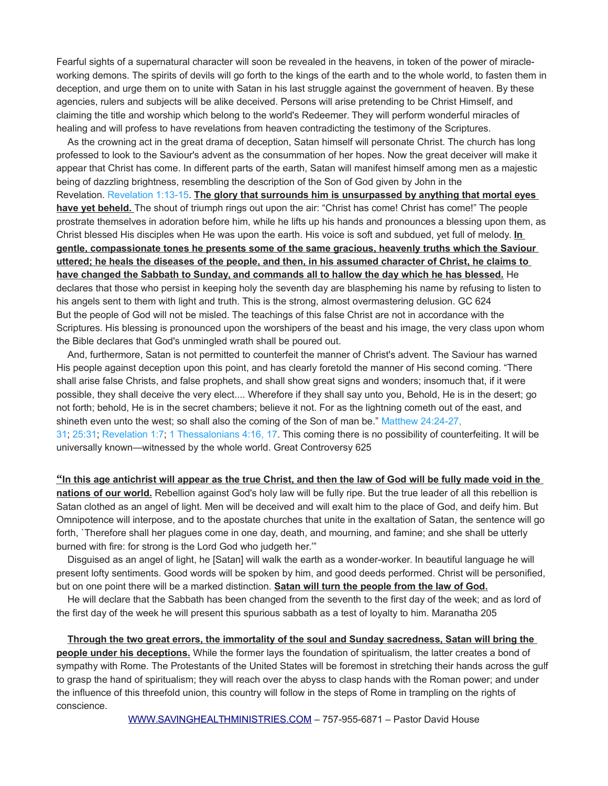Fearful sights of a supernatural character will soon be revealed in the heavens, in token of the power of miracleworking demons. The spirits of devils will go forth to the kings of the earth and to the whole world, to fasten them in deception, and urge them on to unite with Satan in his last struggle against the government of heaven. By these agencies, rulers and subjects will be alike deceived. Persons will arise pretending to be Christ Himself, and claiming the title and worship which belong to the world's Redeemer. They will perform wonderful miracles of healing and will profess to have revelations from heaven contradicting the testimony of the Scriptures.

As the crowning act in the great drama of deception, Satan himself will personate Christ. The church has long professed to look to the Saviour's advent as the consummation of her hopes. Now the great deceiver will make it appear that Christ has come. In different parts of the earth, Satan will manifest himself among men as a majestic being of dazzling brightness, resembling the description of the Son of God given by John in the Revelation. [Revelation 1:13-15.](http://text.egwwritings.org/publication.php?pubtype=Bible&bookCode=KJV&bookSubCode=Revelation&lang=en&chapter=1&verse=13) **The glory that surrounds him is unsurpassed by anything that mortal eyes have yet beheld.** The shout of triumph rings out upon the air: "Christ has come! Christ has come!" The people prostrate themselves in adoration before him, while he lifts up his hands and pronounces a blessing upon them, as Christ blessed His disciples when He was upon the earth. His voice is soft and subdued, yet full of melody. **In gentle, compassionate tones he presents some of the same gracious, heavenly truths which the Saviour uttered; he heals the diseases of the people, and then, in his assumed character of Christ, he claims to have changed the Sabbath to Sunday, and commands all to hallow the day which he has blessed.** He declares that those who persist in keeping holy the seventh day are blaspheming his name by refusing to listen to his angels sent to them with light and truth. This is the strong, almost overmastering delusion. GC 624 But the people of God will not be misled. The teachings of this false Christ are not in accordance with the Scriptures. His blessing is pronounced upon the worshipers of the beast and his image, the very class upon whom the Bible declares that God's unmingled wrath shall be poured out.

And, furthermore, Satan is not permitted to counterfeit the manner of Christ's advent. The Saviour has warned His people against deception upon this point, and has clearly foretold the manner of His second coming. "There shall arise false Christs, and false prophets, and shall show great signs and wonders; insomuch that, if it were possible, they shall deceive the very elect.... Wherefore if they shall say unto you, Behold, He is in the desert; go not forth; behold, He is in the secret chambers; believe it not. For as the lightning cometh out of the east, and shineth even unto the west; so shall also the coming of the Son of man be." [Matthew 24:24-27,](http://text.egwwritings.org/publication.php?pubtype=Bible&bookCode=KJV&bookSubCode=Matthew&lang=en&chapter=24&verse=24)  [31;](http://text.egwwritings.org/publication.php?pubtype=Bible&bookCode=KJV&bookSubCode=Matthew&lang=en&chapter=24&verse=24) [25:31;](http://text.egwwritings.org/publication.php?pubtype=Bible&bookCode=KJV&bookSubCode=Matthew&lang=en&chapter=25&verse=31) [Revelation 1:7;](http://text.egwwritings.org/publication.php?pubtype=Bible&bookCode=KJV&bookSubCode=Revelation&lang=en&chapter=1&verse=7) [1 Thessalonians 4:16, 17.](http://text.egwwritings.org/publication.php?pubtype=Bible&bookCode=KJV&bookSubCode=1Thessalonians&lang=en&chapter=4&verse=16) This coming there is no possibility of counterfeiting. It will be

universally known—witnessed by the whole world. Great Controversy 625

 **"In this age antichrist will appear as the true Christ, and then the law of God will be fully made void in the nations of our world.** Rebellion against God's holy law will be fully ripe. But the true leader of all this rebellion is Satan clothed as an angel of light. Men will be deceived and will exalt him to the place of God, and deify him. But Omnipotence will interpose, and to the apostate churches that unite in the exaltation of Satan, the sentence will go forth, `Therefore shall her plagues come in one day, death, and mourning, and famine; and she shall be utterly burned with fire: for strong is the Lord God who judgeth her.'"

Disguised as an angel of light, he [Satan] will walk the earth as a wonder-worker. In beautiful language he will present lofty sentiments. Good words will be spoken by him, and good deeds performed. Christ will be personified, but on one point there will be a marked distinction. **Satan will turn the people from the law of God.**

He will declare that the Sabbath has been changed from the seventh to the first day of the week; and as lord of the first day of the week he will present this spurious sabbath as a test of loyalty to him. Maranatha 205

**Through the two great errors, the immortality of the soul and Sunday sacredness, Satan will bring the people under his deceptions.** While the former lays the foundation of spiritualism, the latter creates a bond of sympathy with Rome. The Protestants of the United States will be foremost in stretching their hands across the gulf to grasp the hand of spiritualism; they will reach over the abyss to clasp hands with the Roman power; and under the influence of this threefold union, this country will follow in the steps of Rome in trampling on the rights of conscience.